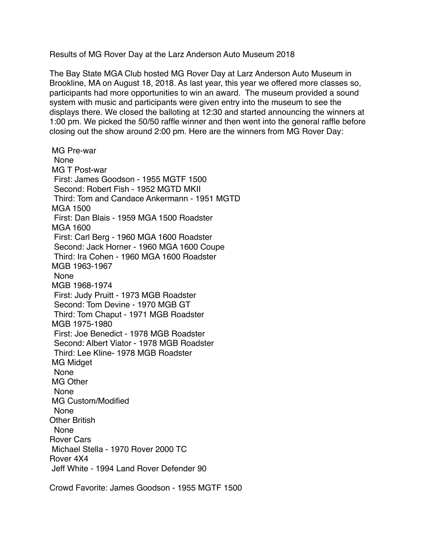Results of MG Rover Day at the Larz Anderson Auto Museum 2018

The Bay State MGA Club hosted MG Rover Day at Larz Anderson Auto Museum in Brookline, MA on August 18, 2018. As last year, this year we offered more classes so, participants had more opportunities to win an award. The museum provided a sound system with music and participants were given entry into the museum to see the displays there. We closed the balloting at 12:30 and started announcing the winners at 1:00 pm. We picked the 50/50 raffle winner and then went into the general raffle before closing out the show around 2:00 pm. Here are the winners from MG Rover Day:

 MG Pre-war None MG T Post-war First: James Goodson - 1955 MGTF 1500 Second: Robert Fish - 1952 MGTD MKII Third: Tom and Candace Ankermann - 1951 MGTD MGA 1500 First: Dan Blais - 1959 MGA 1500 Roadster MGA 1600 First: Carl Berg - 1960 MGA 1600 Roadster Second: Jack Horner - 1960 MGA 1600 Coupe Third: Ira Cohen - 1960 MGA 1600 Roadster MGB 1963-1967 None MGB 1968-1974 First: Judy Pruitt - 1973 MGB Roadster Second: Tom Devine - 1970 MGB GT Third: Tom Chaput - 1971 MGB Roadster MGB 1975-1980 First: Joe Benedict - 1978 MGB Roadster Second: Albert Viator - 1978 MGB Roadster Third: Lee Kline- 1978 MGB Roadster MG Midget None MG Other None MG Custom/Modified None Other British None Rover Cars Michael Stella - 1970 Rover 2000 TC Rover 4X4 Jeff White - 1994 Land Rover Defender 90

Crowd Favorite: James Goodson - 1955 MGTF 1500